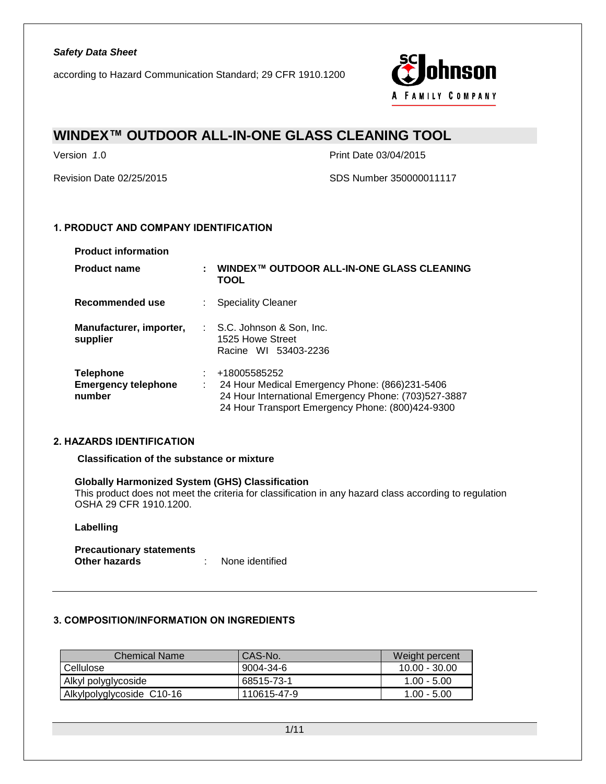

## **WINDEX™ OUTDOOR ALL-IN-ONE GLASS CLEANING TOOL**

Version *1*.0 Print Date 03/04/2015

Revision Date 02/25/2015 SDS Number 350000011117

### **1. PRODUCT AND COMPANY IDENTIFICATION**

| <b>Product information</b>                               |   |                                                                                                                                                                            |
|----------------------------------------------------------|---|----------------------------------------------------------------------------------------------------------------------------------------------------------------------------|
| <b>Product name</b>                                      | ÷ | WINDEX™ OUTDOOR ALL-IN-ONE GLASS CLEANING<br>TOOL                                                                                                                          |
| Recommended use                                          |   | <b>Speciality Cleaner</b>                                                                                                                                                  |
| Manufacturer, importer,<br>supplier                      |   | : S.C. Johnson & Son, Inc.<br>1525 Howe Street<br>Racine WI 53403-2236                                                                                                     |
| <b>Telephone</b><br><b>Emergency telephone</b><br>number | ÷ | +18005585252<br>24 Hour Medical Emergency Phone: (866)231-5406<br>24 Hour International Emergency Phone: (703)527-3887<br>24 Hour Transport Emergency Phone: (800)424-9300 |

#### **2. HAZARDS IDENTIFICATION**

#### **Classification of the substance or mixture**

#### **Globally Harmonized System (GHS) Classification**

This product does not meet the criteria for classification in any hazard class according to regulation OSHA 29 CFR 1910.1200.

#### **Labelling**

| <b>Precautionary statements</b> |                 |
|---------------------------------|-----------------|
| Other hazards                   | None identified |

#### **3. COMPOSITION/INFORMATION ON INGREDIENTS**

| <b>Chemical Name</b>      | CAS-No.     | Weight percent  |
|---------------------------|-------------|-----------------|
| Cellulose                 | 9004-34-6   | $10.00 - 30.00$ |
| Alkyl polyglycoside       | 68515-73-1  | $1.00 - 5.00$   |
| Alkylpolyglycoside C10-16 | 110615-47-9 | $1.00 - 5.00$   |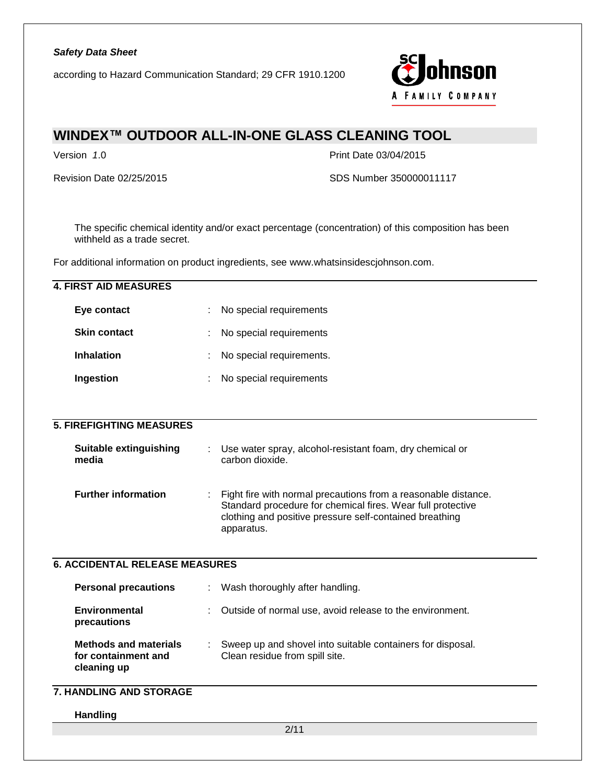according to Hazard Communication Standard; 29 CFR 1910.1200



## **WINDEX™ OUTDOOR ALL-IN-ONE GLASS CLEANING TOOL**

Version *1*.0 Print Date 03/04/2015

Revision Date 02/25/2015 SDS Number 350000011117

The specific chemical identity and/or exact percentage (concentration) of this composition has been withheld as a trade secret.

For additional information on product ingredients, see www.whatsinsidescjohnson.com.

| <b>4. FIRST AID MEASURES</b>                                       |                                                                                                                                                                                                        |
|--------------------------------------------------------------------|--------------------------------------------------------------------------------------------------------------------------------------------------------------------------------------------------------|
| Eye contact                                                        | No special requirements                                                                                                                                                                                |
| <b>Skin contact</b>                                                | No special requirements                                                                                                                                                                                |
| <b>Inhalation</b>                                                  | No special requirements.                                                                                                                                                                               |
| Ingestion                                                          | No special requirements                                                                                                                                                                                |
|                                                                    |                                                                                                                                                                                                        |
| <b>5. FIREFIGHTING MEASURES</b>                                    |                                                                                                                                                                                                        |
| <b>Suitable extinguishing</b><br>media                             | Use water spray, alcohol-resistant foam, dry chemical or<br>carbon dioxide.                                                                                                                            |
| <b>Further information</b>                                         | Fight fire with normal precautions from a reasonable distance.<br>Standard procedure for chemical fires. Wear full protective<br>clothing and positive pressure self-contained breathing<br>apparatus. |
| <b>6. ACCIDENTAL RELEASE MEASURES</b>                              |                                                                                                                                                                                                        |
| <b>Personal precautions</b>                                        | Wash thoroughly after handling.                                                                                                                                                                        |
| <b>Environmental</b><br>precautions                                | Outside of normal use, avoid release to the environment.                                                                                                                                               |
| <b>Methods and materials</b><br>for containment and<br>cleaning up | Sweep up and shovel into suitable containers for disposal.<br>Clean residue from spill site.                                                                                                           |
| <b>7. HANDLING AND STORAGE</b>                                     |                                                                                                                                                                                                        |
| Handling                                                           |                                                                                                                                                                                                        |
|                                                                    | 2/11                                                                                                                                                                                                   |
|                                                                    |                                                                                                                                                                                                        |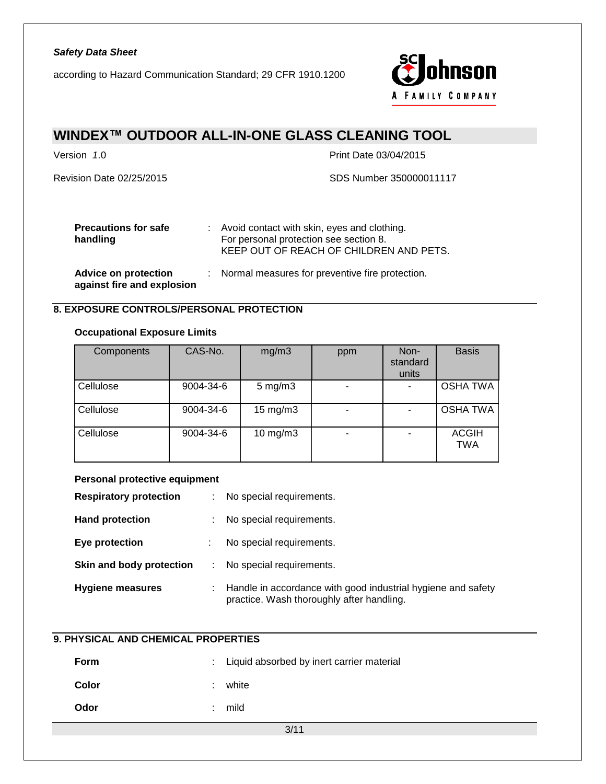according to Hazard Communication Standard; 29 CFR 1910.1200



## **WINDEX™ OUTDOOR ALL-IN-ONE GLASS CLEANING TOOL**

Version *1*.0 Print Date 03/04/2015

Revision Date 02/25/2015 SDS Number 350000011117

| <b>Precautions for safe</b><br>handling                   | : Avoid contact with skin, eyes and clothing.<br>For personal protection see section 8.<br>KEEP OUT OF REACH OF CHILDREN AND PETS. |
|-----------------------------------------------------------|------------------------------------------------------------------------------------------------------------------------------------|
| <b>Advice on protection</b><br>against fire and explosion | : Normal measures for preventive fire protection.                                                                                  |

#### **8. EXPOSURE CONTROLS/PERSONAL PROTECTION**

#### **Occupational Exposure Limits**

| Components | CAS-No.   | mg/m3              | ppm | Non-<br>standard<br>units | <b>Basis</b>               |
|------------|-----------|--------------------|-----|---------------------------|----------------------------|
| Cellulose  | 9004-34-6 | $5 \text{ mg/m}$ 3 |     |                           | <b>OSHA TWA</b>            |
| Cellulose  | 9004-34-6 | $15 \text{ mg/m}$  |     |                           | <b>OSHA TWA</b>            |
| Cellulose  | 9004-34-6 | $10$ mg/m $3$      |     |                           | <b>ACGIH</b><br><b>TWA</b> |

#### **Personal protective equipment**

| <b>Respiratory protection</b> | ÷  | No special requirements.                                                                                  |
|-------------------------------|----|-----------------------------------------------------------------------------------------------------------|
| <b>Hand protection</b>        |    | No special requirements.                                                                                  |
| Eye protection                | t. | No special requirements.                                                                                  |
| Skin and body protection      |    | No special requirements.                                                                                  |
| <b>Hygiene measures</b>       |    | Handle in accordance with good industrial hygiene and safety<br>practice. Wash thoroughly after handling. |

### **9. PHYSICAL AND CHEMICAL PROPERTIES**

| Form  | : Liquid absorbed by inert carrier material |
|-------|---------------------------------------------|
| Color | white                                       |
| Odor  | mild                                        |

3/11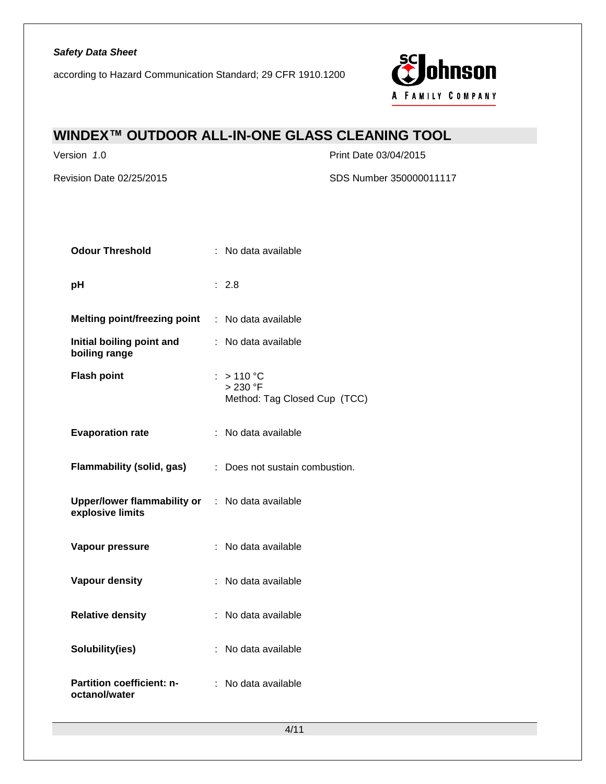

## **WINDEX™ OUTDOOR ALL-IN-ONE GLASS CLEANING TOOL**

Version *1*.0 Print Date 03/04/2015

Revision Date 02/25/2015 SDS Number 350000011117

| <b>Odour Threshold</b>                                                     | : No data available                                            |
|----------------------------------------------------------------------------|----------------------------------------------------------------|
| pH                                                                         | : 2.8                                                          |
| <b>Melting point/freezing point</b>                                        | : No data available                                            |
| Initial boiling point and<br>boiling range                                 | : No data available                                            |
| <b>Flash point</b>                                                         | : $>110^{\circ}$ C<br>> 230 °F<br>Method: Tag Closed Cup (TCC) |
| <b>Evaporation rate</b>                                                    | : No data available                                            |
| Flammability (solid, gas)                                                  | : Does not sustain combustion.                                 |
| <b>Upper/lower flammability or : No data available</b><br>explosive limits |                                                                |
| Vapour pressure                                                            | : No data available                                            |
| <b>Vapour density</b>                                                      | : No data available                                            |
| <b>Relative density</b>                                                    | : No data available                                            |
| Solubility(ies)                                                            | : No data available                                            |
| Partition coefficient: n-<br>octanol/water                                 | : No data available                                            |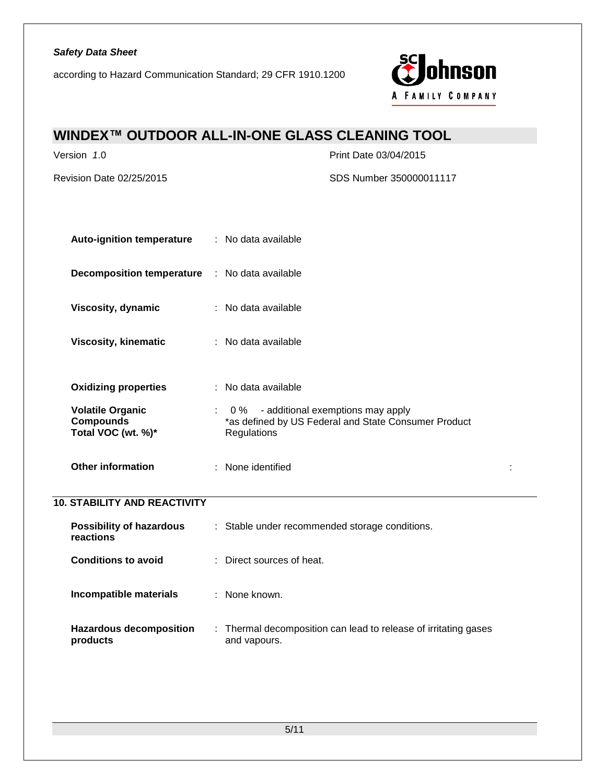according to Hazard Communication Standard; 29 CFR 1910.1200



# **WINDEX™ OUTDOOR ALL-IN-ONE GLASS CLEANING TOOL**

Version *1*.0 Print Date 03/04/2015

Revision Date 02/25/2015 SDS Number 350000011117

| <b>Auto-ignition temperature</b>                                  | : No data available                                                                                          |  |
|-------------------------------------------------------------------|--------------------------------------------------------------------------------------------------------------|--|
| <b>Decomposition temperature</b>                                  | : No data available                                                                                          |  |
| Viscosity, dynamic                                                | : No data available                                                                                          |  |
| <b>Viscosity, kinematic</b>                                       | : No data available                                                                                          |  |
| <b>Oxidizing properties</b>                                       | : No data available                                                                                          |  |
| <b>Volatile Organic</b><br><b>Compounds</b><br>Total VOC (wt. %)* | 0 % - additional exemptions may apply<br>*as defined by US Federal and State Consumer Product<br>Regulations |  |
| <b>Other information</b>                                          | : None identified                                                                                            |  |
| <b>10. STABILITY AND REACTIVITY</b>                               |                                                                                                              |  |
| <b>Possibility of hazardous</b><br>reactions                      | : Stable under recommended storage conditions.                                                               |  |
| <b>Conditions to avoid</b>                                        | : Direct sources of heat.                                                                                    |  |
| Incompatible materials                                            | : None known.                                                                                                |  |
| <b>Hazardous decomposition</b><br>products                        | : Thermal decomposition can lead to release of irritating gases<br>and vapours.                              |  |
|                                                                   |                                                                                                              |  |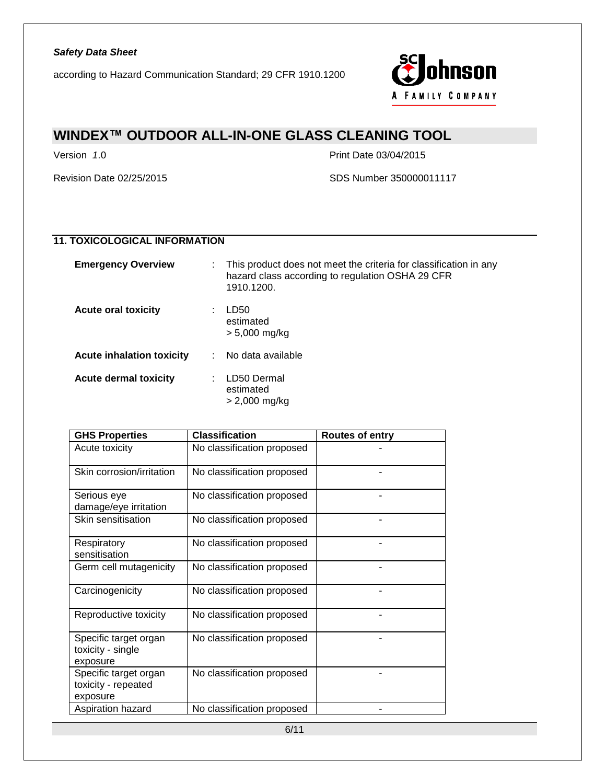

## **WINDEX™ OUTDOOR ALL-IN-ONE GLASS CLEANING TOOL**

Version *1*.0 Print Date 03/04/2015

Revision Date 02/25/2015 SDS Number 350000011117

### **11. TOXICOLOGICAL INFORMATION**

| <b>Emergency Overview</b>        | This product does not meet the criteria for classification in any<br>hazard class according to regulation OSHA 29 CFR<br>1910.1200. |
|----------------------------------|-------------------------------------------------------------------------------------------------------------------------------------|
| <b>Acute oral toxicity</b>       | LD50<br>estimated<br>> 5,000 mg/kg                                                                                                  |
| <b>Acute inhalation toxicity</b> | No data available                                                                                                                   |
| <b>Acute dermal toxicity</b>     | LD50 Dermal<br>estimated<br>> 2,000 mg/kg                                                                                           |

| <b>GHS Properties</b>                                    | <b>Classification</b>      | Routes of entry |
|----------------------------------------------------------|----------------------------|-----------------|
| Acute toxicity                                           | No classification proposed |                 |
| Skin corrosion/irritation                                | No classification proposed |                 |
| Serious eye<br>damage/eye irritation                     | No classification proposed |                 |
| Skin sensitisation                                       | No classification proposed |                 |
| Respiratory<br>sensitisation                             | No classification proposed |                 |
| Germ cell mutagenicity                                   | No classification proposed |                 |
| Carcinogenicity                                          | No classification proposed |                 |
| Reproductive toxicity                                    | No classification proposed |                 |
| Specific target organ<br>toxicity - single<br>exposure   | No classification proposed |                 |
| Specific target organ<br>toxicity - repeated<br>exposure | No classification proposed |                 |
| Aspiration hazard                                        | No classification proposed |                 |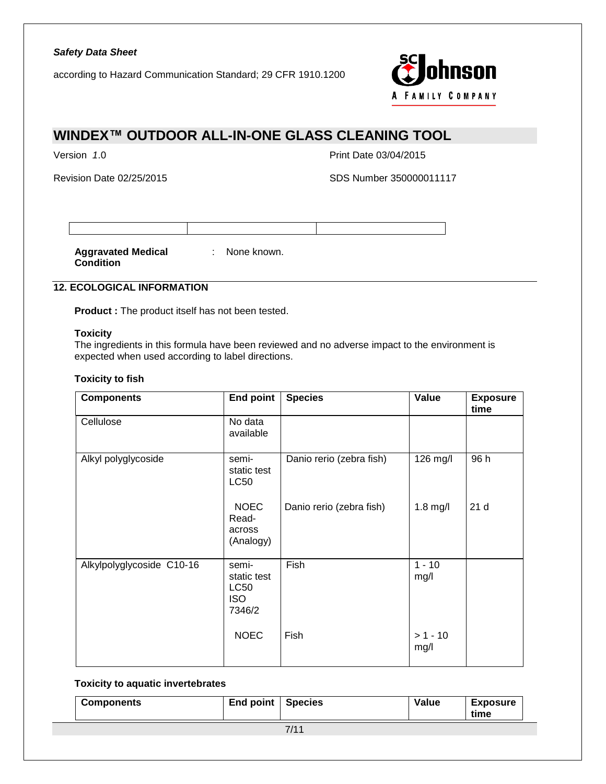according to Hazard Communication Standard; 29 CFR 1910.1200



# **WINDEX™ OUTDOOR ALL-IN-ONE GLASS CLEANING TOOL**

Version *1*.0 Print Date 03/04/2015

Revision Date 02/25/2015 SDS Number 350000011117

**Aggravated Medical**  : None known. **Condition**

### **12. ECOLOGICAL INFORMATION**

**Product :** The product itself has not been tested.

#### **Toxicity**

The ingredients in this formula have been reviewed and no adverse impact to the environment is expected when used according to label directions.

#### **Toxicity to fish**

| <b>Components</b>         | <b>End point</b>                                            | <b>Species</b>           | Value              | <b>Exposure</b><br>time |
|---------------------------|-------------------------------------------------------------|--------------------------|--------------------|-------------------------|
| Cellulose                 | No data<br>available                                        |                          |                    |                         |
| Alkyl polyglycoside       | semi-<br>static test<br><b>LC50</b>                         | Danio rerio (zebra fish) | 126 mg/l           | 96 h                    |
|                           | <b>NOEC</b><br>Read-<br>across<br>(Analogy)                 | Danio rerio (zebra fish) | $1.8$ mg/l         | 21 d                    |
| Alkylpolyglycoside C10-16 | semi-<br>static test<br><b>LC50</b><br><b>ISO</b><br>7346/2 | Fish                     | $1 - 10$<br>mg/l   |                         |
|                           | <b>NOEC</b>                                                 | Fish                     | $> 1 - 10$<br>mg/l |                         |

#### **Toxicity to aquatic invertebrates**

| <b>Components</b> | End point | <b>Species</b> | Value | <b>Exposure</b><br>time |
|-------------------|-----------|----------------|-------|-------------------------|
|                   |           | 7/11           |       |                         |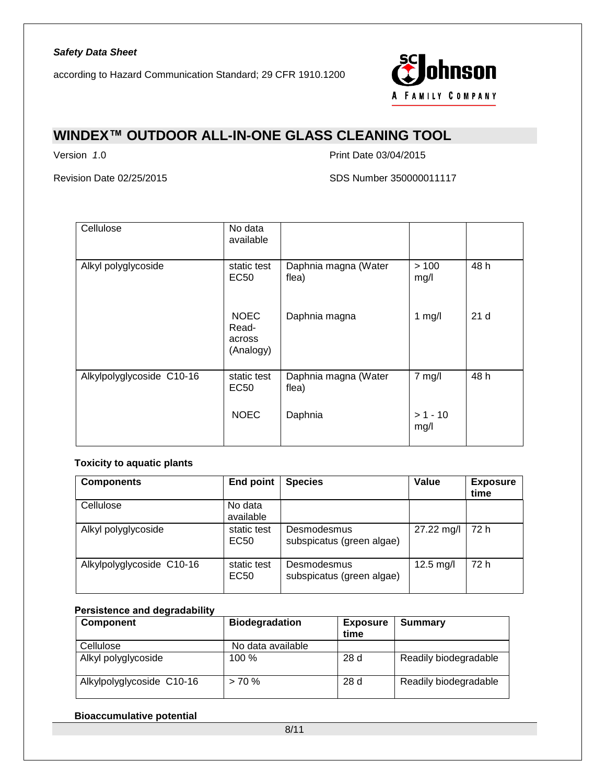

## **WINDEX™ OUTDOOR ALL-IN-ONE GLASS CLEANING TOOL**

Version *1*.0 Print Date 03/04/2015

Revision Date 02/25/2015 SDS Number 350000011117

| Cellulose                 | No data<br>available                        |                               |                    |                 |
|---------------------------|---------------------------------------------|-------------------------------|--------------------|-----------------|
| Alkyl polyglycoside       | static test<br>EC50                         | Daphnia magna (Water<br>flea) | >100<br>mg/l       | 48 h            |
|                           | <b>NOEC</b><br>Read-<br>across<br>(Analogy) | Daphnia magna                 | 1 $mg/l$           | 21 <sub>d</sub> |
| Alkylpolyglycoside C10-16 | static test<br>EC <sub>50</sub>             | Daphnia magna (Water<br>flea) | $7$ mg/l           | 48 h            |
|                           | <b>NOEC</b>                                 | Daphnia                       | $> 1 - 10$<br>mg/l |                 |

#### **Toxicity to aquatic plants**

| <b>Components</b>         | <b>End point</b>                | <b>Species</b>                           | Value               | <b>Exposure</b><br>time |
|---------------------------|---------------------------------|------------------------------------------|---------------------|-------------------------|
| Cellulose                 | No data<br>available            |                                          |                     |                         |
| Alkyl polyglycoside       | static test<br>EC <sub>50</sub> | Desmodesmus<br>subspicatus (green algae) | 27.22 mg/l          | 72 h                    |
| Alkylpolyglycoside C10-16 | static test<br>EC <sub>50</sub> | Desmodesmus<br>subspicatus (green algae) | $12.5 \text{ mg/l}$ | 72 h                    |

### **Persistence and degradability**

| <b>Component</b>          | <b>Biodegradation</b> | <b>Exposure</b><br>time | Summary               |
|---------------------------|-----------------------|-------------------------|-----------------------|
| Cellulose                 | No data available     |                         |                       |
| Alkyl polyglycoside       | 100 %                 | 28d                     | Readily biodegradable |
| Alkylpolyglycoside C10-16 | $> 70\%$              | 28d                     | Readily biodegradable |

#### **Bioaccumulative potential**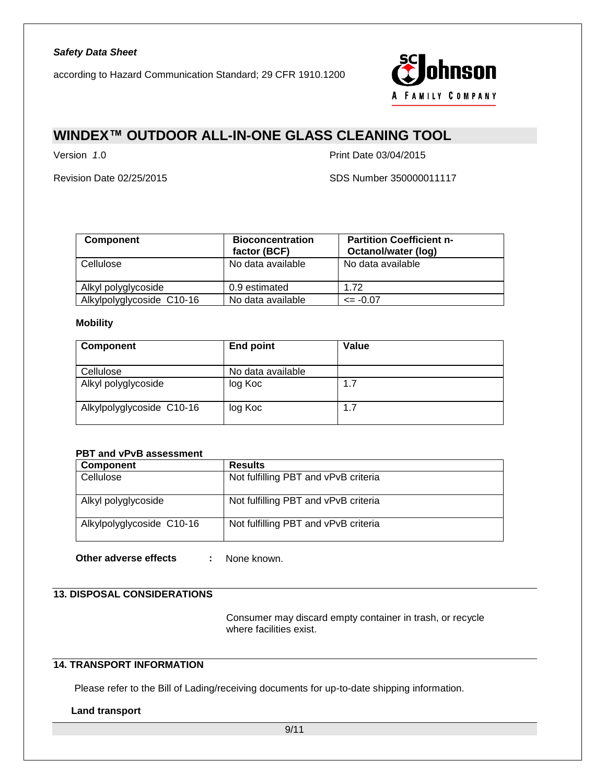

## **WINDEX™ OUTDOOR ALL-IN-ONE GLASS CLEANING TOOL**

Version *1*.0 Print Date 03/04/2015

Revision Date 02/25/2015 SDS Number 350000011117

| <b>Component</b>          | <b>Bioconcentration</b><br>factor (BCF) | <b>Partition Coefficient n-</b><br>Octanol/water (log) |
|---------------------------|-----------------------------------------|--------------------------------------------------------|
| Cellulose                 | No data available                       | No data available                                      |
| Alkyl polyglycoside       | 0.9 estimated                           | 1.72                                                   |
| Alkylpolyglycoside C10-16 | No data available                       | $\le$ -0.07                                            |

#### **Mobility**

| Component                 | End point         | Value |
|---------------------------|-------------------|-------|
| Cellulose                 | No data available |       |
| Alkyl polyglycoside       | log Koc           | 1.7   |
| Alkylpolyglycoside C10-16 | log Koc           | 1.7   |

#### **PBT and vPvB assessment**

| <b>Component</b>          | <b>Results</b>                       |
|---------------------------|--------------------------------------|
| Cellulose                 | Not fulfilling PBT and vPvB criteria |
| Alkyl polyglycoside       | Not fulfilling PBT and vPvB criteria |
| Alkylpolyglycoside C10-16 | Not fulfilling PBT and vPvB criteria |

**Other adverse effects :** None known.

### **13. DISPOSAL CONSIDERATIONS**

Consumer may discard empty container in trash, or recycle where facilities exist.

### **14. TRANSPORT INFORMATION**

Please refer to the Bill of Lading/receiving documents for up-to-date shipping information.

#### **Land transport**

9/11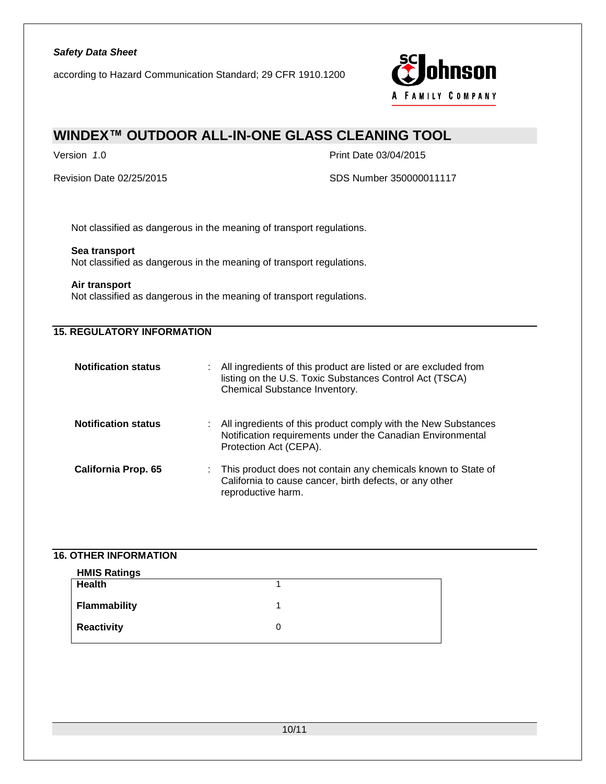according to Hazard Communication Standard; 29 CFR 1910.1200



## **WINDEX™ OUTDOOR ALL-IN-ONE GLASS CLEANING TOOL**

Version *1*.0 Print Date 03/04/2015

Revision Date 02/25/2015 SDS Number 350000011117

Not classified as dangerous in the meaning of transport regulations.

#### **Sea transport**

Not classified as dangerous in the meaning of transport regulations.

#### **Air transport**

Not classified as dangerous in the meaning of transport regulations.

### **15. REGULATORY INFORMATION**

| <b>Notification status</b> | ÷. | All ingredients of this product are listed or are excluded from<br>listing on the U.S. Toxic Substances Control Act (TSCA)<br>Chemical Substance Inventory. |
|----------------------------|----|-------------------------------------------------------------------------------------------------------------------------------------------------------------|
| <b>Notification status</b> | ÷. | All ingredients of this product comply with the New Substances<br>Notification requirements under the Canadian Environmental<br>Protection Act (CEPA).      |
| <b>California Prop. 65</b> |    | : This product does not contain any chemicals known to State of<br>California to cause cancer, birth defects, or any other<br>reproductive harm.            |

#### **16. OTHER INFORMATION**

| <b>HMIS Ratings</b> |   |
|---------------------|---|
| <b>Health</b>       |   |
| <b>Flammability</b> |   |
| <b>Reactivity</b>   | O |